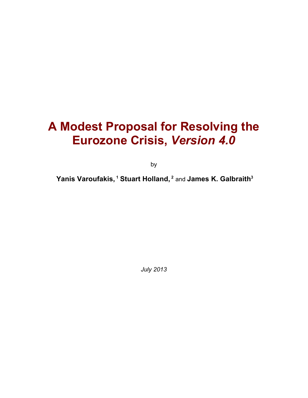# **A Modest Proposal for Resolving the Eurozone Crisis,** *Version 4.0*

by

**Yanis Varoufakis, <sup>1</sup> Stuart Holland, <sup>2</sup>** and **James K. Galbraith3**

*July 2013*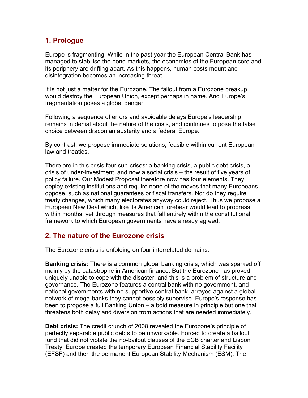## **1. Prologue**

Europe is fragmenting. While in the past year the European Central Bank has managed to stabilise the bond markets, the economies of the European core and its periphery are drifting apart. As this happens, human costs mount and disintegration becomes an increasing threat.

It is not just a matter for the Eurozone. The fallout from a Eurozone breakup would destroy the European Union, except perhaps in name. And Europe's fragmentation poses a global danger.

Following a sequence of errors and avoidable delays Europe's leadership remains in denial about the nature of the crisis, and continues to pose the false choice between draconian austerity and a federal Europe.

By contrast, we propose immediate solutions, feasible within current European law and treaties.

There are in this crisis four sub-crises: a banking crisis, a public debt crisis, a crisis of under-investment, and now a social crisis – the result of five years of policy failure. Our Modest Proposal therefore now has four elements. They deploy existing institutions and require none of the moves that many Europeans oppose, such as national guarantees or fiscal transfers. Nor do they require treaty changes, which many electorates anyway could reject. Thus we propose a European New Deal which, like its American forebear would lead to progress within months, yet through measures that fall entirely within the constitutional framework to which European governments have already agreed.

## **2. The nature of the Eurozone crisis**

The Eurozone crisis is unfolding on four interrelated domains.

**Banking crisis:** There is a common global banking crisis, which was sparked off mainly by the catastrophe in American finance. But the Eurozone has proved uniquely unable to cope with the disaster, and this is a problem of structure and governance. The Eurozone features a central bank with no government, and national governments with no supportive central bank, arrayed against a global network of mega-banks they cannot possibly supervise. Europe's response has been to propose a full Banking Union – a bold measure in principle but one that threatens both delay and diversion from actions that are needed immediately.

**Debt crisis:** The credit crunch of 2008 revealed the Eurozone's principle of perfectly separable public debts to be unworkable. Forced to create a bailout fund that did not violate the no-bailout clauses of the ECB charter and Lisbon Treaty, Europe created the temporary European Financial Stability Facility (EFSF) and then the permanent European Stability Mechanism (ESM). The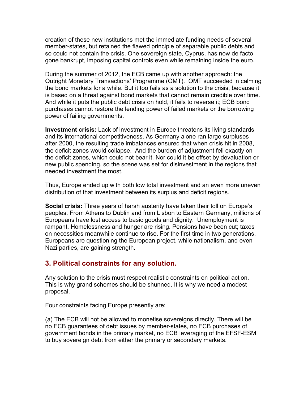creation of these new institutions met the immediate funding needs of several member-states, but retained the flawed principle of separable public debts and so could not contain the crisis. One sovereign state, Cyprus, has now de facto gone bankrupt, imposing capital controls even while remaining inside the euro.

During the summer of 2012, the ECB came up with another approach: the Outright Monetary Transactions' Programme (OMT). OMT succeeded in calming the bond markets for a while. But it too fails as a solution to the crisis, because it is based on a threat against bond markets that cannot remain credible over time. And while it puts the public debt crisis on hold, it fails to reverse it; ECB bond purchases cannot restore the lending power of failed markets or the borrowing power of failing governments.

**Investment crisis:** Lack of investment in Europe threatens its living standards and its international competitiveness. As Germany alone ran large surpluses after 2000, the resulting trade imbalances ensured that when crisis hit in 2008, the deficit zones would collapse. And the burden of adjustment fell exactly on the deficit zones, which could not bear it. Nor could it be offset by devaluation or new public spending, so the scene was set for disinvestment in the regions that needed investment the most.

Thus, Europe ended up with both low total investment and an even more uneven distribution of that investment between its surplus and deficit regions.

**Social crisis:** Three years of harsh austerity have taken their toll on Europe's peoples. From Athens to Dublin and from Lisbon to Eastern Germany, millions of Europeans have lost access to basic goods and dignity. Unemployment is rampant. Homelessness and hunger are rising. Pensions have been cut; taxes on necessities meanwhile continue to rise. For the first time in two generations, Europeans are questioning the European project, while nationalism, and even Nazi parties, are gaining strength.

## **3. Political constraints for any solution.**

Any solution to the crisis must respect realistic constraints on political action. This is why grand schemes should be shunned. It is why we need a modest proposal.

Four constraints facing Europe presently are:

(a) The ECB will not be allowed to monetise sovereigns directly. There will be no ECB guarantees of debt issues by member-states, no ECB purchases of government bonds in the primary market, no ECB leveraging of the EFSF-ESM to buy sovereign debt from either the primary or secondary markets.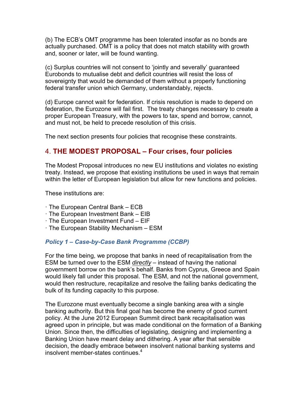(b) The ECB's OMT programme has been tolerated insofar as no bonds are actually purchased. OMT is a policy that does not match stability with growth and, sooner or later, will be found wanting.

(c) Surplus countries will not consent to 'jointly and severally' guaranteed Eurobonds to mutualise debt and deficit countries will resist the loss of sovereignty that would be demanded of them without a properly functioning federal transfer union which Germany, understandably, rejects.

(d) Europe cannot wait for federation. If crisis resolution is made to depend on federation, the Eurozone will fail first. The treaty changes necessary to create a proper European Treasury, with the powers to tax, spend and borrow, cannot, and must not, be held to precede resolution of this crisis.

The next section presents four policies that recognise these constraints.

## 4. **THE MODEST PROPOSAL – Four crises, four policies**

The Modest Proposal introduces no new EU institutions and violates no existing treaty. Instead, we propose that existing institutions be used in ways that remain within the letter of European legislation but allow for new functions and policies.

These institutions are:

- · The European Central Bank ECB
- $\cdot$  The European Investment Bank EIB
- · The European Investment Fund EIF
- · The European Stability Mechanism ESM

#### *Policy 1 – Case-by-Case Bank Programme (CCBP)*

For the time being, we propose that banks in need of recapitalisation from the ESM be turned over to the ESM *directly* – instead of having the national government borrow on the bank's behalf. Banks from Cyprus, Greece and Spain would likely fall under this proposal. The ESM, and not the national government, would then restructure, recapitalize and resolve the failing banks dedicating the bulk of its funding capacity to this purpose.

The Eurozone must eventually become a single banking area with a single banking authority. But this final goal has become the enemy of good current policy. At the June 2012 European Summit direct bank recapitalisation was agreed upon in principle, but was made conditional on the formation of a Banking Union. Since then, the difficulties of legislating, designing and implementing a Banking Union have meant delay and dithering. A year after that sensible decision, the deadly embrace between insolvent national banking systems and insolvent member-states continues.<sup>4</sup>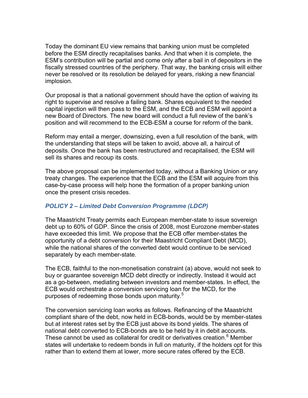Today the dominant EU view remains that banking union must be completed before the ESM directly recapitalises banks. And that when it is complete, the ESM's contribution will be partial and come only after a bail in of depositors in the fiscally stressed countries of the periphery. That way, the banking crisis will either never be resolved or its resolution be delayed for years, risking a new financial implosion.

Our proposal is that a national government should have the option of waiving its right to supervise and resolve a failing bank. Shares equivalent to the needed capital injection will then pass to the ESM, and the ECB and ESM will appoint a new Board of Directors. The new board will conduct a full review of the bank's position and will recommend to the ECB-ESM a course for reform of the bank.

Reform may entail a merger, downsizing, even a full resolution of the bank, with the understanding that steps will be taken to avoid, above all, a haircut of deposits. Once the bank has been restructured and recapitalised, the ESM will sell its shares and recoup its costs.

The above proposal can be implemented today, without a Banking Union or any treaty changes. The experience that the ECB and the ESM will acquire from this case-by-case process will help hone the formation of a proper banking union once the present crisis recedes.

#### *POLICY 2 – Limited Debt Conversion Programme (LDCP)*

The Maastricht Treaty permits each European member-state to issue sovereign debt up to 60% of GDP. Since the crisis of 2008, most Eurozone member-states have exceeded this limit. We propose that the ECB offer member-states the opportunity of a debt conversion for their Maastricht Compliant Debt (MCD), while the national shares of the converted debt would continue to be serviced separately by each member-state.

The ECB, faithful to the non-monetisation constraint (a) above, would not seek to buy or guarantee sovereign MCD debt directly or indirectly. Instead it would act as a go-between, mediating between investors and member-states. In effect, the ECB would orchestrate a conversion servicing loan for the MCD, for the purposes of redeeming those bonds upon maturity.<sup>5</sup>

The conversion servicing loan works as follows. Refinancing of the Maastricht compliant share of the debt, now held in ECB-bonds, would be by member-states but at interest rates set by the ECB just above its bond yields. The shares of national debt converted to ECB-bonds are to be held by it in debit accounts. These cannot be used as collateral for credit or derivatives creation.<sup>6</sup> Member states will undertake to redeem bonds in full on maturity, if the holders opt for this rather than to extend them at lower, more secure rates offered by the ECB.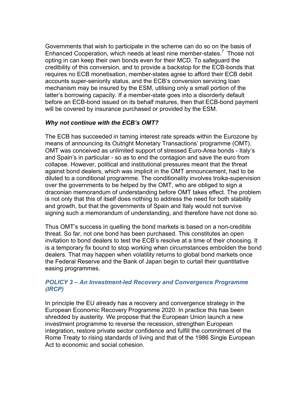Governments that wish to participate in the scheme can do so on the basis of Enhanced Cooperation, which needs at least nine member-states.<sup>7</sup> Those not opting in can keep their own bonds even for their MCD. To safeguard the credibility of this conversion, and to provide a backstop for the ECB-bonds that requires no ECB monetisation, member-states agree to afford their ECB debit accounts super-seniority status, and the ECB's conversion servicing loan mechanism may be insured by the ESM, utilising only a small portion of the latter's borrowing capacity. If a member-state goes into a disorderly default before an ECB-bond issued on its behalf matures, then that ECB-bond payment will be covered by insurance purchased or provided by the ESM.

#### *Why not continue with the ECB's OMT?*

The ECB has succeeded in taming interest rate spreads within the Eurozone by means of announcing its Outright Monetary Transactions' programme (OMT). OMT was conceived as unlimited support of stressed Euro-Area bonds - Italy's and Spain's in particular - so as to end the contagion and save the euro from collapse. However, political and institutional pressures meant that the threat against bond dealers, which was implicit in the OMT announcement, had to be diluted to a conditional programme. The conditionality involves troika-supervision over the governments to be helped by the OMT, who are obliged to sign a draconian memorandum of understanding before OMT takes effect. The problem is not only that this of itself does nothing to address the need for both stability and growth, but that the governments of Spain and Italy would not survive signing such a memorandum of understanding, and therefore have not done so.

Thus OMT's success in quelling the bond markets is based on a non-credible threat. So far, not one bond has been purchased. This constitutes an open invitation to bond dealers to test the ECB's resolve at a time of their choosing. It is a temporary fix bound to stop working when circumstances embolden the bond dealers. That may happen when volatility returns to global bond markets once the Federal Reserve and the Bank of Japan begin to curtail their quantitative easing programmes.

#### *POLICY 3 – An Investment-led Recovery and Convergence Programme (IRCP)*

In principle the EU already has a recovery and convergence strategy in the European Economic Recovery Programme 2020. In practice this has been shredded by austerity. We propose that the European Union launch a new investment programme to reverse the recession, strengthen European integration, restore private sector confidence and fulfill the commitment of the Rome Treaty to rising standards of living and that of the 1986 Single European Act to economic and social cohesion.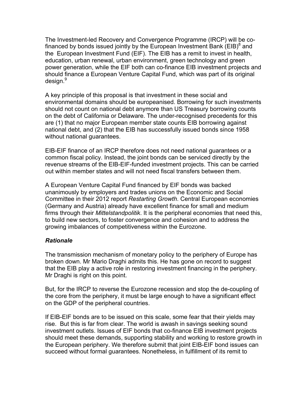The Investment-led Recovery and Convergence Programme (IRCP) will be cofinanced by bonds issued jointly by the European Investment Bank (EIB) $^8$  and the European Investment Fund (EIF). The EIB has a remit to invest in health, education, urban renewal, urban environment, green technology and green power generation, while the EIF both can co-finance EIB investment projects and should finance a European Venture Capital Fund, which was part of its original desian.<sup>9</sup>

A key principle of this proposal is that investment in these social and environmental domains should be europeanised. Borrowing for such investments should not count on national debt anymore than US Treasury borrowing counts on the debt of California or Delaware. The under-recognised precedents for this are (1) that no major European member state counts EIB borrowing against national debt, and (2) that the EIB has successfully issued bonds since 1958 without national guarantees.

EIB-EIF finance of an IRCP therefore does not need national guarantees or a common fiscal policy. Instead, the joint bonds can be serviced directly by the revenue streams of the EIB-EIF-funded investment projects. This can be carried out within member states and will not need fiscal transfers between them.

A European Venture Capital Fund financed by EIF bonds was backed unanimously by employers and trades unions on the Economic and Social Committee in their 2012 report *Restarting Growth*. Central European economies (Germany and Austria) already have excellent finance for small and medium firms through their *Mittelstandpolitik*. It is the peripheral economies that need this, to build new sectors, to foster convergence and cohesion and to address the growing imbalances of competitiveness within the Eurozone.

#### *Rationale*

The transmission mechanism of monetary policy to the periphery of Europe has broken down. Mr Mario Draghi admits this. He has gone on record to suggest that the EIB play a active role in restoring investment financing in the periphery. Mr Draghi is right on this point.

But, for the IRCP to reverse the Eurozone recession and stop the de-coupling of the core from the periphery, it must be large enough to have a significant effect on the GDP of the peripheral countries.

If EIB-EIF bonds are to be issued on this scale, some fear that their yields may rise. But this is far from clear. The world is awash in savings seeking sound investment outlets. Issues of EIF bonds that co-finance EIB investment projects should meet these demands, supporting stability and working to restore growth in the European periphery. We therefore submit that joint EIB-EIF bond issues can succeed without formal guarantees. Nonetheless, in fulfillment of its remit to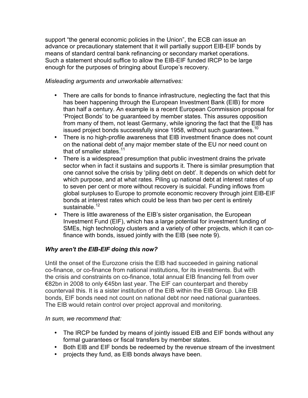support "the general economic policies in the Union", the ECB can issue an advance or precautionary statement that it will partially support EIB-EIF bonds by means of standard central bank refinancing or secondary market operations. Such a statement should suffice to allow the EIB-EIF funded IRCP to be large enough for the purposes of bringing about Europe's recovery.

#### *Misleading arguments and unworkable alternatives:*

- There are calls for bonds to finance infrastructure, neglecting the fact that this has been happening through the European Investment Bank (EIB) for more than half a century. An example is a recent European Commission proposal for 'Project Bonds' to be guaranteed by member states. This assures opposition from many of them, not least Germany, while ignoring the fact that the EIB has issued project bonds successfully since 1958, without such guarantees.<sup>10</sup>
- There is no high-profile awareness that EIB investment finance does not count on the national debt of any major member state of the EU nor need count on that of smaller states. $11$
- There is a widespread presumption that public investment drains the private sector when in fact it sustains and supports it. There is similar presumption that one cannot solve the crisis by 'piling debt on debt'. It depends on which debt for which purpose, and at what rates. Piling up national debt at interest rates of up to seven per cent or more without recovery is suicidal. Funding inflows from global surpluses to Europe to promote economic recovery through joint EIB-EIF bonds at interest rates which could be less than two per cent is entirely sustainable.<sup>12</sup>
- There is little awareness of the EIB's sister organisation, the European Investment Fund (EIF), which has a large potential for investment funding of SMEs, high technology clusters and a variety of other projects, which it can cofinance with bonds, issued jointly with the EIB (see note 9).

#### *Why aren't the EIB-EIF doing this now?*

Until the onset of the Eurozone crisis the EIB had succeeded in gaining national co-finance, or co-finance from national institutions, for its investments. But with the crisis and constraints on co-finance, total annual EIB financing fell from over €82bn in 2008 to only €45bn last year. The EIF can counterpart and thereby countervail this. It is a sister institution of the EIB within the EIB Group. Like EIB bonds, EIF bonds need not count on national debt nor need national guarantees. The EIB would retain control over project approval and monitoring.

#### *In sum, we recommend that:*

- The IRCP be funded by means of jointly issued EIB and EIF bonds without any formal guarantees or fiscal transfers by member states.
- Both EIB and EIF bonds be redeemed by the revenue stream of the investment
- projects they fund, as EIB bonds always have been.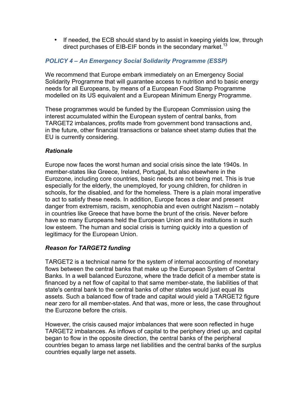• If needed, the ECB should stand by to assist in keeping yields low, through direct purchases of EIB-EIF bonds in the secondary market.<sup>13</sup>

### *POLICY 4 – An Emergency Social Solidarity Programme (ESSP)*

We recommend that Europe embark immediately on an Emergency Social Solidarity Programme that will guarantee access to nutrition and to basic energy needs for all Europeans, by means of a European Food Stamp Programme modelled on its US equivalent and a European Minimum Energy Programme.

These programmes would be funded by the European Commission using the interest accumulated within the European system of central banks, from TARGET2 imbalances, profits made from government bond transactions and, in the future, other financial transactions or balance sheet stamp duties that the EU is currently considering.

#### *Rationale*

Europe now faces the worst human and social crisis since the late 1940s. In member-states like Greece, Ireland, Portugal, but also elsewhere in the Eurozone, including core countries, basic needs are not being met. This is true especially for the elderly, the unemployed, for young children, for children in schools, for the disabled, and for the homeless. There is a plain moral imperative to act to satisfy these needs. In addition, Europe faces a clear and present danger from extremism, racism, xenophobia and even outright Nazism – notably in countries like Greece that have borne the brunt of the crisis. Never before have so many Europeans held the European Union and its institutions in such low esteem. The human and social crisis is turning quickly into a question of legitimacy for the European Union.

#### *Reason for TARGET2 funding*

TARGET2 is a technical name for the system of internal accounting of monetary flows between the central banks that make up the European System of Central Banks. In a well balanced Eurozone, where the trade deficit of a member state is financed by a net flow of capital to that same member-state, the liabilities of that state's central bank to the central banks of other states would just equal its assets. Such a balanced flow of trade and capital would yield a TARGET2 figure near zero for all member-states. And that was, more or less, the case throughout the Eurozone before the crisis.

However, the crisis caused major imbalances that were soon reflected in huge TARGET2 imbalances. As inflows of capital to the periphery dried up, and capital began to flow in the opposite direction, the central banks of the peripheral countries began to amass large net liabilities and the central banks of the surplus countries equally large net assets.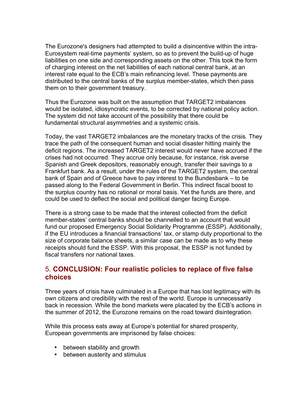The Eurozone's designers had attempted to build a disincentive within the intra-Eurosystem real-time payments' system, so as to prevent the build-up of huge liabilities on one side and corresponding assets on the other. This took the form of charging interest on the net liabilities of each national central bank, at an interest rate equal to the ECB's main refinancing level. These payments are distributed to the central banks of the surplus member-states, which then pass them on to their government treasury.

Thus the Eurozone was built on the assumption that TARGET2 imbalances would be isolated, idiosyncratic events, to be corrected by national policy action. The system did not take account of the possibility that there could be fundamental structural asymmetries and a systemic crisis.

Today, the vast TARGET2 imbalances are the monetary tracks of the crisis. They trace the path of the consequent human and social disaster hitting mainly the deficit regions. The increased TARGET2 interest would never have accrued if the crises had not occurred. They accrue only because, for instance, risk averse Spanish and Greek depositors, reasonably enough, transfer their savings to a Frankfurt bank. As a result, under the rules of the TARGET2 system, the central bank of Spain and of Greece have to pay interest to the Bundesbank – to be passed along to the Federal Government in Berlin. This indirect fiscal boost to the surplus country has no rational or moral basis. Yet the funds are there, and could be used to deflect the social and political danger facing Europe.

There is a strong case to be made that the interest collected from the deficit member-states' central banks should be channelled to an account that would fund our proposed Emergency Social Solidarity Programme (ESSP). Additionally, if the EU introduces a financial transactions' tax, or stamp duty proportional to the size of corporate balance sheets, a similar case can be made as to why these receipts should fund the ESSP. With this proposal, the ESSP is not funded by fiscal transfers nor national taxes.

## 5. **CONCLUSION: Four realistic policies to replace of five false choices**

Three years of crisis have culminated in a Europe that has lost legitimacy with its own citizens and credibility with the rest of the world. Europe is unnecessarily back in recession. While the bond markets were placated by the ECB's actions in the summer of 2012, the Eurozone remains on the road toward disintegration.

While this process eats away at Europe's potential for shared prosperity, European governments are imprisoned by false choices:

- between stability and growth
- between austerity and stimulus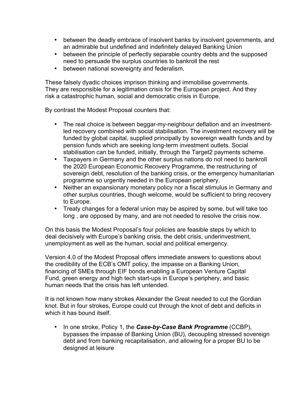- between the deadly embrace of insolvent banks by insolvent governments, and an admirable but undefined and indefinitely delayed Banking Union
- between the principle of perfectly separable country debts and the supposed need to persuade the surplus countries to bankroll the rest
- between national sovereignty and federalism.

These falsely dyadic choices imprison thinking and immobilise governments. They are responsible for a legitimation crisis for the European project. And they risk a catastrophic human, social and democratic crisis in Europe.

By contrast the Modest Proposal counters that:

- The real choice is between beggar-my-neighbour deflation and an investmentled recovery combined with social stabilisation. The investment recovery will be funded by global capital, supplied principally by sovereign wealth funds and by pension funds which are seeking long-term investment outlets. Social stabilisation can be funded, initially, through the Target2 payments scheme.
- Taxpayers in Germany and the other surplus nations do not need to bankroll the 2020 European Economic Recovery Programme, the restructuring of sovereign debt, resolution of the banking crisis, or the emergency humanitarian programme so urgently needed in the European periphery.
- Neither an expansionary monetary policy nor a fiscal stimulus in Germany and other surplus countries, though welcome, would be sufficient to bring recovery to Europe.
- Treaty changes for a federal union may be aspired by some, but will take too long , are opposed by many, and are not needed to resolve the crisis now.

On this basis the Modest Proposal's four policies are feasible steps by which to deal decisively with Europe's banking crisis, the debt crisis, underinvestment, unemployment as well as the human, social and political emergency.

Version 4.0 of the Modest Proposal offers immediate answers to questions about the credibility of the ECB's OMT policy, the impasse on a Banking Union, financing of SMEs through EIF bonds enabling a European Venture Capital Fund, green energy and high tech start-ups in Europe's periphery, and basic human needs that the crisis has left untended.

It is not known how many strokes Alexander the Great needed to cut the Gordian knot. But in four strokes, Europe could cut through the knot of debt and deficits in which it has bound itself.

• In one stroke, Policy 1, the *Case-by-Case Bank Programme* (CCBP), bypasses the impasse of Banking Union (BU), decoupling stressed sovereign debt and from banking recapitalisation, and allowing for a proper BU to be designed at leisure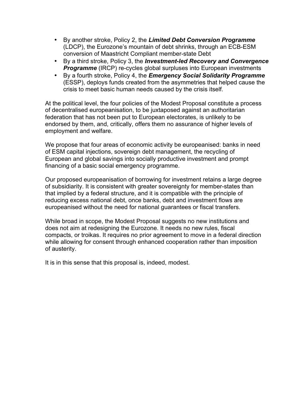- By another stroke, Policy 2, the *Limited Debt Conversion Programme* (LDCP), the Eurozone's mountain of debt shrinks, through an ECB-ESM conversion of Maastricht Compliant member-state Debt
- By a third stroke, Policy 3, the *Investment-led Recovery and Convergence Programme* (IRCP) re-cycles global surpluses into European investments
- By a fourth stroke, Policy 4, the *Emergency Social Solidarity Programme* (ESSP), deploys funds created from the asymmetries that helped cause the crisis to meet basic human needs caused by the crisis itself.

At the political level, the four policies of the Modest Proposal constitute a process of decentralised europeanisation, to be juxtaposed against an authoritarian federation that has not been put to European electorates, is unlikely to be endorsed by them, and, critically, offers them no assurance of higher levels of employment and welfare.

We propose that four areas of economic activity be europeanised: banks in need of ESM capital injections, sovereign debt management, the recycling of European and global savings into socially productive investment and prompt financing of a basic social emergency programme.

Our proposed europeanisation of borrowing for investment retains a large degree of subsidiarity. It is consistent with greater sovereignty for member-states than that implied by a federal structure, and it is compatible with the principle of reducing excess national debt, once banks, debt and investment flows are europeanised without the need for national guarantees or fiscal transfers.

While broad in scope, the Modest Proposal suggests no new institutions and does not aim at redesigning the Eurozone. It needs no new rules, fiscal compacts, or troikas. It requires no prior agreement to move in a federal direction while allowing for consent through enhanced cooperation rather than imposition of austerity.

It is in this sense that this proposal is, indeed, modest.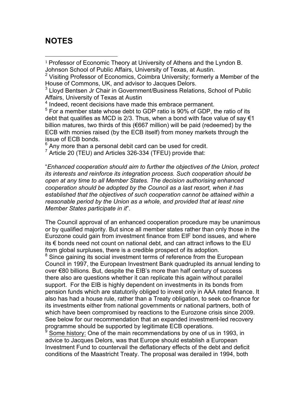# **NOTES**

l

<sup>1</sup> Professor of Economic Theory at University of Athens and the Lyndon B. Johnson School of Public Affairs, University of Texas, at Austin.

 $2$  Visiting Professor of Economics, Coimbra University; formerly a Member of the House of Commons, UK, and advisor to Jacques Delors.

<sup>3</sup> Lloyd Bentsen Jr Chair in Government/Business Relations, School of Public Affairs, University of Texas at Austin

<sup>4</sup> Indeed, recent decisions have made this embrace permanent.

 $<sup>5</sup>$  For a member state whose debt to GDP ratio is 90% of GDP, the ratio of its</sup> debt that qualifies as MCD is 2/3. Thus, when a bond with face value of say  $\epsilon$ 1 billion matures, two thirds of this (€667 million) will be paid (redeemed) by the ECB with monies raised (by the ECB itself) from money markets through the issue of ECB bonds.

 $6$  Any more than a personal debit card can be used for credit.

 $7$  Article 20 (TEU) and Articles 326-334 (TFEU) provide that:

"*Enhanced cooperation should aim to further the objectives of the Union, protect its interests and reinforce its integration process. Such cooperation should be open at any time to all Member States. The decision authorising enhanced cooperation should be adopted by the Council as a last resort, when it has established that the objectives of such cooperation cannot be attained within a reasonable period by the Union as a whole, and provided that at least nine Member States participate in it*".

The Council approval of an enhanced cooperation procedure may be unanimous or by qualified majority. But since all member states rather than only those in the Eurozone could gain from investment finance from EIF bond issues, and where its € bonds need not count on national debt, and can attract inflows to the EU from global surpluses, there is a credible prospect of its adoption.

<sup>8</sup> Since gaining its social investment terms of reference from the European Council in 1997, the European Investment Bank quadrupled its annual lending to over €80 billions. But, despite the EIB's more than half century of success there also are questions whether it can replicate this again without parallel support. For the EIB is highly dependent on investments in its bonds from pension funds which are statutorily obliged to invest only in AAA rated finance. It also has had a house rule, rather than a Treaty obligation, to seek co-finance for its investments either from national governments or national partners, both of which have been compromised by reactions to the Eurozone crisis since 2009. See below for our recommendation that an expanded investment-led recovery programme should be supported by legitimate ECB operations.

Some history: One of the main recommendations by one of us in 1993, in advice to Jacques Delors, was that Europe should establish a European Investment Fund to countervail the deflationary effects of the debt and deficit conditions of the Maastricht Treaty. The proposal was derailed in 1994, both